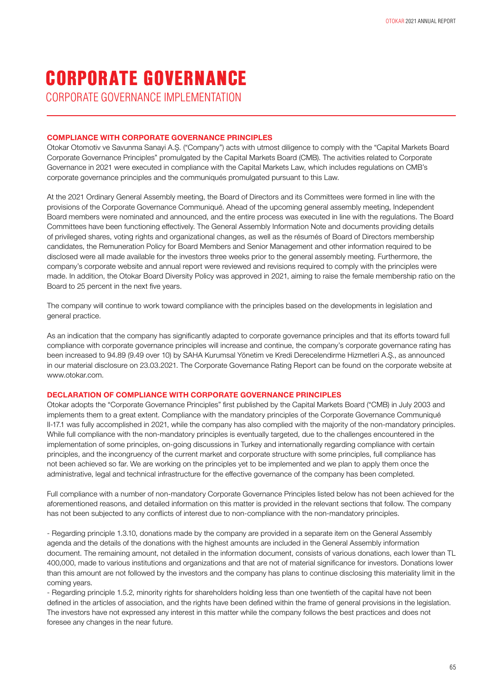CORPORATE GOVERNANCE IMPLEMENTATION

#### **COMPLIANCE WITH CORPORATE GOVERNANCE PRINCIPLES**

Otokar Otomotiv ve Savunma Sanayi A.Ş. ("Company") acts with utmost diligence to comply with the "Capital Markets Board Corporate Governance Principles" promulgated by the Capital Markets Board (CMB). The activities related to Corporate Governance in 2021 were executed in compliance with the Capital Markets Law, which includes regulations on CMB's corporate governance principles and the communiqués promulgated pursuant to this Law.

At the 2021 Ordinary General Assembly meeting, the Board of Directors and its Committees were formed in line with the provisions of the Corporate Governance Communiqué. Ahead of the upcoming general assembly meeting, Independent Board members were nominated and announced, and the entire process was executed in line with the regulations. The Board Committees have been functioning effectively. The General Assembly Information Note and documents providing details of privileged shares, voting rights and organizational changes, as well as the résumés of Board of Directors membership candidates, the Remuneration Policy for Board Members and Senior Management and other information required to be disclosed were all made available for the investors three weeks prior to the general assembly meeting. Furthermore, the company's corporate website and annual report were reviewed and revisions required to comply with the principles were made. In addition, the Otokar Board Diversity Policy was approved in 2021, aiming to raise the female membership ratio on the Board to 25 percent in the next five years.

The company will continue to work toward compliance with the principles based on the developments in legislation and general practice.

As an indication that the company has significantly adapted to corporate governance principles and that its efforts toward full compliance with corporate governance principles will increase and continue, the company's corporate governance rating has been increased to 94.89 (9.49 over 10) by SAHA Kurumsal Yönetim ve Kredi Derecelendirme Hizmetleri A.Ş., as announced in our material disclosure on 23.03.2021. The Corporate Governance Rating Report can be found on the corporate website at www.otokar.com.

#### **DECLARATION OF COMPLIANCE WITH CORPORATE GOVERNANCE PRINCIPLES**

Otokar adopts the "Corporate Governance Principles" first published by the Capital Markets Board ("CMB) in July 2003 and implements them to a great extent. Compliance with the mandatory principles of the Corporate Governance Communiqué II-17.1 was fully accomplished in 2021, while the company has also complied with the majority of the non-mandatory principles. While full compliance with the non-mandatory principles is eventually targeted, due to the challenges encountered in the implementation of some principles, on-going discussions in Turkey and internationally regarding compliance with certain principles, and the incongruency of the current market and corporate structure with some principles, full compliance has not been achieved so far. We are working on the principles yet to be implemented and we plan to apply them once the administrative, legal and technical infrastructure for the effective governance of the company has been completed.

Full compliance with a number of non-mandatory Corporate Governance Principles listed below has not been achieved for the aforementioned reasons, and detailed information on this matter is provided in the relevant sections that follow. The company has not been subjected to any conflicts of interest due to non-compliance with the non-mandatory principles.

- Regarding principle 1.3.10, donations made by the company are provided in a separate item on the General Assembly agenda and the details of the donations with the highest amounts are included in the General Assembly information document. The remaining amount, not detailed in the information document, consists of various donations, each lower than TL 400,000, made to various institutions and organizations and that are not of material significance for investors. Donations lower than this amount are not followed by the investors and the company has plans to continue disclosing this materiality limit in the coming years.

- Regarding principle 1.5.2, minority rights for shareholders holding less than one twentieth of the capital have not been defined in the articles of association, and the rights have been defined within the frame of general provisions in the legislation. The investors have not expressed any interest in this matter while the company follows the best practices and does not foresee any changes in the near future.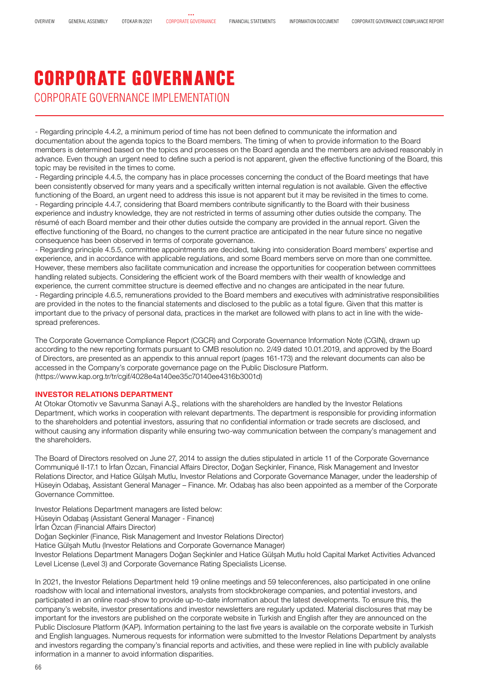### CORPORATE GOVERNANCE IMPLEMENTATION CORPORATE GOVERNANCE

- Regarding principle 4.4.2, a minimum period of time has not been defined to communicate the information and documentation about the agenda topics to the Board members. The timing of when to provide information to the Board members is determined based on the topics and processes on the Board agenda and the members are advised reasonably in advance. Even though an urgent need to define such a period is not apparent, given the effective functioning of the Board, this topic may be revisited in the times to come.

- Regarding principle 4.4.5, the company has in place processes concerning the conduct of the Board meetings that have been consistently observed for many years and a specifically written internal regulation is not available. Given the effective functioning of the Board, an urgent need to address this issue is not apparent but it may be revisited in the times to come. - Regarding principle 4.4.7, considering that Board members contribute significantly to the Board with their business experience and industry knowledge, they are not restricted in terms of assuming other duties outside the company. The résumé of each Board member and their other duties outside the company are provided in the annual report. Given the effective functioning of the Board, no changes to the current practice are anticipated in the near future since no negative consequence has been observed in terms of corporate governance.

- Regarding principle 4.5.5, committee appointments are decided, taking into consideration Board members' expertise and experience, and in accordance with applicable regulations, and some Board members serve on more than one committee. However, these members also facilitate communication and increase the opportunities for cooperation between committees handling related subjects. Considering the efficient work of the Board members with their wealth of knowledge and experience, the current committee structure is deemed effective and no changes are anticipated in the near future. - Regarding principle 4.6.5, remunerations provided to the Board members and executives with administrative responsibilities are provided in the notes to the financial statements and disclosed to the public as a total figure. Given that this matter is important due to the privacy of personal data, practices in the market are followed with plans to act in line with the widespread preferences.

The Corporate Governance Compliance Report (CGCR) and Corporate Governance Information Note (CGIN), drawn up according to the new reporting formats pursuant to CMB resolution no. 2/49 dated 10.01.2019, and approved by the Board of Directors, are presented as an appendix to this annual report (pages 161-173) and the relevant documents can also be accessed in the Company's corporate governance page on the Public Disclosure Platform. (https://www.kap.org.tr/tr/cgif/4028e4a140ee35c70140ee4316b3001d)

#### **INVESTOR RELATIONS DEPARTMENT**

At Otokar Otomotiv ve Savunma Sanayi A.Ş., relations with the shareholders are handled by the Investor Relations Department, which works in cooperation with relevant departments. The department is responsible for providing information to the shareholders and potential investors, assuring that no confidential information or trade secrets are disclosed, and without causing any information disparity while ensuring two-way communication between the company's management and the shareholders.

The Board of Directors resolved on June 27, 2014 to assign the duties stipulated in article 11 of the Corporate Governance Communiqué II-17.1 to İrfan Özcan, Financial Affairs Director, Doğan Seçkinler, Finance, Risk Management and Investor Relations Director, and Hatice Gülşah Mutlu, Investor Relations and Corporate Governance Manager, under the leadership of Hüseyin Odabaş, Assistant General Manager – Finance. Mr. Odabaş has also been appointed as a member of the Corporate Governance Committee.

Investor Relations Department managers are listed below:

Hüseyin Odabaş (Assistant General Manager - Finance)

İrfan Özcan (Financial Affairs Director)

Doğan Seçkinler (Finance, Risk Management and Investor Relations Director)

Hatice Gülşah Mutlu (Investor Relations and Corporate Governance Manager)

Investor Relations Department Managers Doğan Seçkinler and Hatice Gülşah Mutlu hold Capital Market Activities Advanced Level License (Level 3) and Corporate Governance Rating Specialists License.

In 2021, the Investor Relations Department held 19 online meetings and 59 teleconferences, also participated in one online roadshow with local and international investors, analysts from stockbrokerage companies, and potential investors, and participated in an online road-show to provide up-to-date information about the latest developments. To ensure this, the company's website, investor presentations and investor newsletters are regularly updated. Material disclosures that may be important for the investors are published on the corporate website in Turkish and English after they are announced on the Public Disclosure Platform (KAP). Information pertaining to the last five years is available on the corporate website in Turkish and English languages. Numerous requests for information were submitted to the Investor Relations Department by analysts and investors regarding the company's financial reports and activities, and these were replied in line with publicly available information in a manner to avoid information disparities.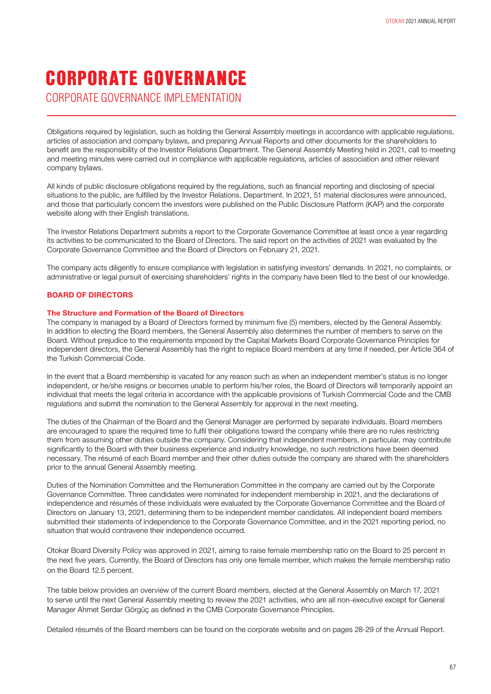CORPORATE GOVERNANCE IMPLEMENTATION

Obligations required by legislation, such as holding the General Assembly meetings in accordance with applicable regulations, articles of association and company bylaws, and preparing Annual Reports and other documents for the shareholders to benefit are the responsibility of the Investor Relations Department. The General Assembly Meeting held in 2021, call to meeting and meeting minutes were carried out in compliance with applicable regulations, articles of association and other relevant company bylaws.

All kinds of public disclosure obligations required by the regulations, such as financial reporting and disclosing of special situations to the public, are fulfilled by the Investor Relations. Department. In 2021, 51 material disclosures were announced, and those that particularly concern the investors were published on the Public Disclosure Platform (KAP) and the corporate website along with their English translations.

The Investor Relations Department submits a report to the Corporate Governance Committee at least once a year regarding its activities to be communicated to the Board of Directors. The said report on the activities of 2021 was evaluated by the Corporate Governance Committee and the Board of Directors on February 21, 2021.

The company acts diligently to ensure compliance with legislation in satisfying investors' demands. In 2021, no complaints, or administrative or legal pursuit of exercising shareholders' rights in the company have been filed to the best of our knowledge.

#### **BOARD OF DIRECTORS**

#### **The Structure and Formation of the Board of Directors**

The company is managed by a Board of Directors formed by minimum five (5) members, elected by the General Assembly. In addition to electing the Board members, the General Assembly also determines the number of members to serve on the Board. Without prejudice to the requirements imposed by the Capital Markets Board Corporate Governance Principles for independent directors, the General Assembly has the right to replace Board members at any time if needed, per Article 364 of the Turkish Commercial Code.

In the event that a Board membership is vacated for any reason such as when an independent member's status is no longer independent, or he/she resigns or becomes unable to perform his/her roles, the Board of Directors will temporarily appoint an individual that meets the legal criteria in accordance with the applicable provisions of Turkish Commercial Code and the CMB regulations and submit the nomination to the General Assembly for approval in the next meeting.

The duties of the Chairman of the Board and the General Manager are performed by separate individuals. Board members are encouraged to spare the required time to fulfil their obligations toward the company while there are no rules restricting them from assuming other duties outside the company. Considering that independent members, in particular, may contribute significantly to the Board with their business experience and industry knowledge, no such restrictions have been deemed necessary. The résumé of each Board member and their other duties outside the company are shared with the shareholders prior to the annual General Assembly meeting.

Duties of the Nomination Committee and the Remuneration Committee in the company are carried out by the Corporate Governance Committee. Three candidates were nominated for independent membership in 2021, and the declarations of independence and résumés of these individuals were evaluated by the Corporate Governance Committee and the Board of Directors on January 13, 2021, determining them to be independent member candidates. All independent board members submitted their statements of independence to the Corporate Governance Committee, and in the 2021 reporting period, no situation that would contravene their independence occurred.

Otokar Board Diversity Policy was approved in 2021, aiming to raise female membership ratio on the Board to 25 percent in the next five years. Currently, the Board of Directors has only one female member, which makes the female membership ratio on the Board 12.5 percent.

The table below provides an overview of the current Board members, elected at the General Assembly on March 17, 2021 to serve until the next General Assembly meeting to review the 2021 activities, who are all non-executive except for General Manager Ahmet Serdar Görgüç as defined in the CMB Corporate Governance Principles.

Detailed résumés of the Board members can be found on the corporate website and on pages 28-29 of the Annual Report.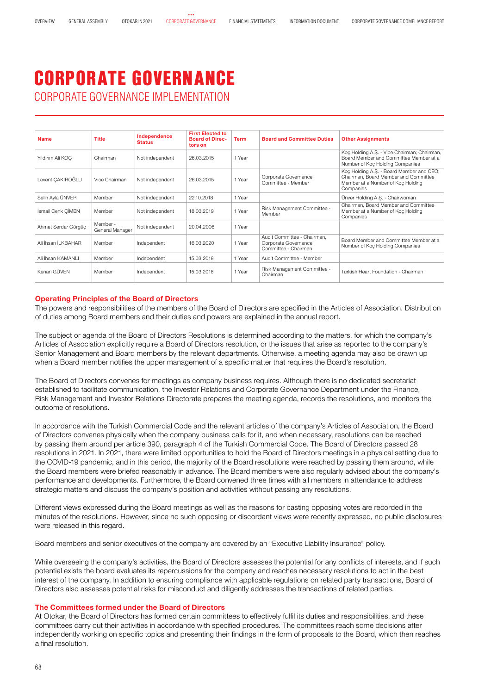### CORPORATE GOVERNANCE IMPLEMENTATION CORPORATE GOVERNANCE

| <b>Name</b>         | <b>Title</b>                | Independence<br><b>Status</b> | <b>First Elected to</b><br><b>Board of Direc-</b><br>tors on | <b>Term</b> | <b>Board and Committee Duties</b>                                           | <b>Other Assignments</b>                                                                                                           |
|---------------------|-----------------------------|-------------------------------|--------------------------------------------------------------|-------------|-----------------------------------------------------------------------------|------------------------------------------------------------------------------------------------------------------------------------|
| Yıldırım Ali KOC    | Chairman                    | Not independent               | 26.03.2015                                                   | 1 Year      |                                                                             | Koç Holding A.Ş. - Vice Chairman; Chairman,<br>Board Member and Committee Member at a<br>Number of Koc Holding Companies           |
| Levent CAKIROĞLU    | Vice Chairman               | Not independent               | 26.03.2015                                                   | 1 Year      | Corporate Governance<br>Committee - Member                                  | Koc Holding A.S. - Board Member and CEO;<br>Chairman, Board Member and Committee<br>Member at a Number of Koc Holding<br>Companies |
| Selin Ayla ÜNVER    | Member                      | Not independent               | 22.10.2018                                                   | 1 Year      |                                                                             | Ünver Holding A.S. - Chairwoman                                                                                                    |
| İsmail Cenk CİMEN   | Member                      | Not independent               | 18.03.2019                                                   | 1 Year      | Risk Management Committee -<br>Member                                       | Chairman, Board Member and Committee<br>Member at a Number of Koc Holding<br>Companies                                             |
| Ahmet Serdar Görgüc | Member -<br>General Manager | Not independent               | 20.04.2006                                                   | 1 Year      |                                                                             |                                                                                                                                    |
| Ali İhsan İl KBAHAR | Member                      | Independent                   | 16.03.2020                                                   | 1 Year      | Audit Committee - Chairman.<br>Corporate Governance<br>Committee - Chairman | Board Member and Committee Member at a<br>Number of Koc Holding Companies                                                          |
| Ali İhsan KAMANI I  | Member                      | Independent                   | 15.03.2018                                                   | 1 Year      | Audit Committee - Member                                                    |                                                                                                                                    |
| Kenan GÜVFN         | Member                      | Independent                   | 15.03.2018                                                   | 1 Year      | Risk Management Committee -<br>Chairman                                     | Turkish Heart Foundation - Chairman                                                                                                |

#### **Operating Principles of the Board of Directors**

The powers and responsibilities of the members of the Board of Directors are specified in the Articles of Association. Distribution of duties among Board members and their duties and powers are explained in the annual report.

The subject or agenda of the Board of Directors Resolutions is determined according to the matters, for which the company's Articles of Association explicitly require a Board of Directors resolution, or the issues that arise as reported to the company's Senior Management and Board members by the relevant departments. Otherwise, a meeting agenda may also be drawn up when a Board member notifies the upper management of a specific matter that requires the Board's resolution.

The Board of Directors convenes for meetings as company business requires. Although there is no dedicated secretariat established to facilitate communication, the Investor Relations and Corporate Governance Department under the Finance, Risk Management and Investor Relations Directorate prepares the meeting agenda, records the resolutions, and monitors the outcome of resolutions.

In accordance with the Turkish Commercial Code and the relevant articles of the company's Articles of Association, the Board of Directors convenes physically when the company business calls for it, and when necessary, resolutions can be reached by passing them around per article 390, paragraph 4 of the Turkish Commercial Code. The Board of Directors passed 28 resolutions in 2021. In 2021, there were limited opportunities to hold the Board of Directors meetings in a physical setting due to the COVID-19 pandemic, and in this period, the majority of the Board resolutions were reached by passing them around, while the Board members were briefed reasonably in advance. The Board members were also regularly advised about the company's performance and developments. Furthermore, the Board convened three times with all members in attendance to address strategic matters and discuss the company's position and activities without passing any resolutions.

Different views expressed during the Board meetings as well as the reasons for casting opposing votes are recorded in the minutes of the resolutions. However, since no such opposing or discordant views were recently expressed, no public disclosures were released in this regard.

Board members and senior executives of the company are covered by an "Executive Liability Insurance" policy.

While overseeing the company's activities, the Board of Directors assesses the potential for any conflicts of interests, and if such potential exists the board evaluates its repercussions for the company and reaches necessary resolutions to act in the best interest of the company. In addition to ensuring compliance with applicable regulations on related party transactions, Board of Directors also assesses potential risks for misconduct and diligently addresses the transactions of related parties.

#### **The Committees formed under the Board of Directors**

At Otokar, the Board of Directors has formed certain committees to effectively fulfil its duties and responsibilities, and these committees carry out their activities in accordance with specified procedures. The committees reach some decisions after independently working on specific topics and presenting their findings in the form of proposals to the Board, which then reaches a final resolution.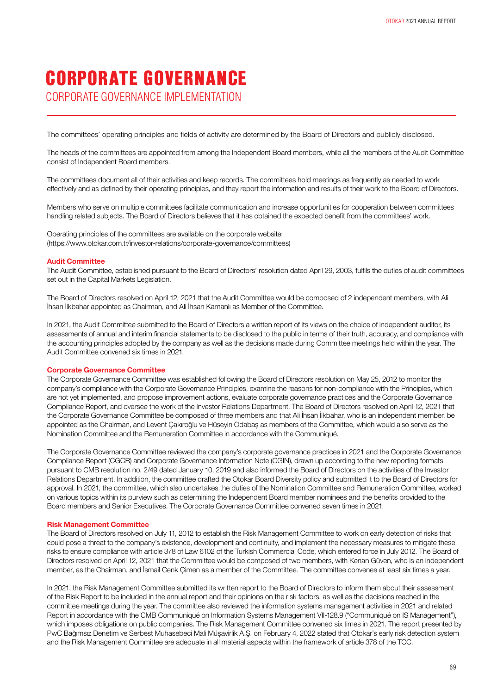CORPORATE GOVERNANCE IMPLEMENTATION

The committees' operating principles and fields of activity are determined by the Board of Directors and publicly disclosed.

The heads of the committees are appointed from among the Independent Board members, while all the members of the Audit Committee consist of Independent Board members.

The committees document all of their activities and keep records. The committees hold meetings as frequently as needed to work effectively and as defined by their operating principles, and they report the information and results of their work to the Board of Directors.

Members who serve on multiple committees facilitate communication and increase opportunities for cooperation between committees handling related subjects. The Board of Directors believes that it has obtained the expected benefit from the committees' work.

Operating principles of the committees are available on the corporate website: (https://www.otokar.com.tr/investor-relations/corporate-governance/committees)

#### **Audit Committee**

The Audit Committee, established pursuant to the Board of Directors' resolution dated April 29, 2003, fulfils the duties of audit committees set out in the Capital Markets Legislation.

The Board of Directors resolved on April 12, 2021 that the Audit Committee would be composed of 2 independent members, with Ali İhsan İlkbahar appointed as Chairman, and Ali İhsan Kamanlı as Member of the Committee.

In 2021, the Audit Committee submitted to the Board of Directors a written report of its views on the choice of independent auditor, its assessments of annual and interim financial statements to be disclosed to the public in terms of their truth, accuracy, and compliance with the accounting principles adopted by the company as well as the decisions made during Committee meetings held within the year. The Audit Committee convened six times in 2021.

#### **Corporate Governance Committee**

The Corporate Governance Committee was established following the Board of Directors resolution on May 25, 2012 to monitor the company's compliance with the Corporate Governance Principles, examine the reasons for non-compliance with the Principles, which are not yet implemented, and propose improvement actions, evaluate corporate governance practices and the Corporate Governance Compliance Report, and oversee the work of the Investor Relations Department. The Board of Directors resolved on April 12, 2021 that the Corporate Governance Committee be composed of three members and that Ali İhsan İlkbahar, who is an independent member, be appointed as the Chairman, and Levent Çakıroğlu ve Hüseyin Odabaş as members of the Committee, which would also serve as the Nomination Committee and the Remuneration Committee in accordance with the Communiqué.

The Corporate Governance Committee reviewed the company's corporate governance practices in 2021 and the Corporate Governance Compliance Report (CGCR) and Corporate Governance Information Note (CGIN), drawn up according to the new reporting formats pursuant to CMB resolution no. 2/49 dated January 10, 2019 and also informed the Board of Directors on the activities of the Investor Relations Department. In addition, the committee drafted the Otokar Board Diversity policy and submitted it to the Board of Directors for approval. In 2021, the committee, which also undertakes the duties of the Nomination Committee and Remuneration Committee, worked on various topics within its purview such as determining the Independent Board member nominees and the benefits provided to the Board members and Senior Executives. The Corporate Governance Committee convened seven times in 2021.

#### **Risk Management Committee**

The Board of Directors resolved on July 11, 2012 to establish the Risk Management Committee to work on early detection of risks that could pose a threat to the company's existence, development and continuity, and implement the necessary measures to mitigate these risks to ensure compliance with article 378 of Law 6102 of the Turkish Commercial Code, which entered force in July 2012. The Board of Directors resolved on April 12, 2021 that the Committee would be composed of two members, with Kenan Güven, who is an independent member, as the Chairman, and İsmail Cenk Çimen as a member of the Committee. The committee convenes at least six times a year.

In 2021, the Risk Management Committee submitted its written report to the Board of Directors to inform them about their assessment of the Risk Report to be included in the annual report and their opinions on the risk factors, as well as the decisions reached in the committee meetings during the year. The committee also reviewed the information systems management activities in 2021 and related Report in accordance with the CMB Communiqué on Information Systems Management VII-128.9 ("Communiqué on IS Management"), which imposes obligations on public companies. The Risk Management Committee convened six times in 2021. The report presented by PwC Bağımsız Denetim ve Serbest Muhasebeci Mali Müşavirlik A.Ş. on February 4, 2022 stated that Otokar's early risk detection system and the Risk Management Committee are adequate in all material aspects within the framework of article 378 of the TCC.